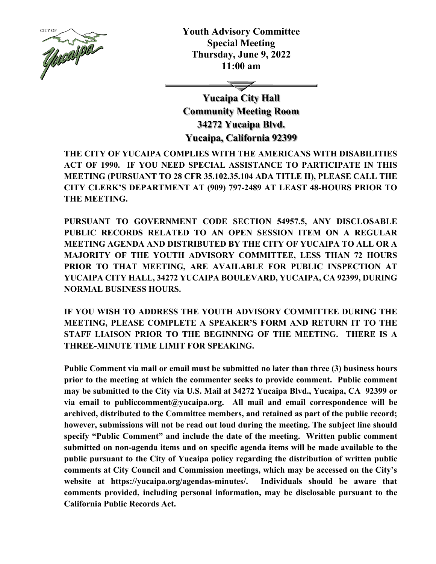

**Youth Advisory Committee Special Meeting Thursday, June 9, 2022 11:00 am**

 $\overline{\phantom{a}}$ **Yucaipa City Hall Community Meeting Room 34272 Yucaipa Blvd. Yucaipa, California 92399**

**THE CITY OF YUCAIPA COMPLIES WITH THE AMERICANS WITH DISABILITIES ACT OF 1990. IF YOU NEED SPECIAL ASSISTANCE TO PARTICIPATE IN THIS MEETING (PURSUANT TO 28 CFR 35.102.35.104 ADA TITLE II), PLEASE CALL THE CITY CLERK'S DEPARTMENT AT (909) 797-2489 AT LEAST 48-HOURS PRIOR TO THE MEETING.**

**PURSUANT TO GOVERNMENT CODE SECTION 54957.5, ANY DISCLOSABLE PUBLIC RECORDS RELATED TO AN OPEN SESSION ITEM ON A REGULAR MEETING AGENDA AND DISTRIBUTED BY THE CITY OF YUCAIPA TO ALL OR A MAJORITY OF THE YOUTH ADVISORY COMMITTEE, LESS THAN 72 HOURS PRIOR TO THAT MEETING, ARE AVAILABLE FOR PUBLIC INSPECTION AT YUCAIPA CITY HALL, 34272 YUCAIPA BOULEVARD, YUCAIPA, CA 92399, DURING NORMAL BUSINESS HOURS.**

**IF YOU WISH TO ADDRESS THE YOUTH ADVISORY COMMITTEE DURING THE MEETING, PLEASE COMPLETE A SPEAKER'S FORM AND RETURN IT TO THE STAFF LIAISON PRIOR TO THE BEGINNING OF THE MEETING. THERE IS A THREE-MINUTE TIME LIMIT FOR SPEAKING.**

**Public Comment via mail or email must be submitted no later than three (3) business hours prior to the meeting at which the commenter seeks to provide comment. Public comment may be submitted to the City via U.S. Mail at 34272 Yucaipa Blvd., Yucaipa, CA 92399 or via email to publiccomment@yucaipa.org. All mail and email correspondence will be archived, distributed to the Committee members, and retained as part of the public record; however, submissions will not be read out loud during the meeting. The subject line should specify "Public Comment" and include the date of the meeting. Written public comment submitted on non-agenda items and on specific agenda items will be made available to the public pursuant to the City of Yucaipa policy regarding the distribution of written public comments at City Council and Commission meetings, which may be accessed on the City's website at https://yucaipa.org/agendas-minutes/. Individuals should be aware that comments provided, including personal information, may be disclosable pursuant to the California Public Records Act.**